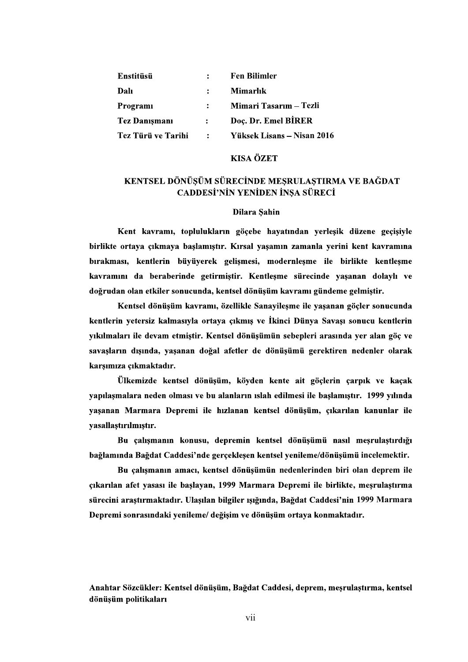| <b>Enstitüsü</b>     |                | <b>Fen Bilimler</b>        |
|----------------------|----------------|----------------------------|
| Dalı                 | $\ddot{\cdot}$ | Mimarlık                   |
| Programi             |                | Mimari Tasarım – Tezli     |
| <b>Tez Danismani</b> | $\mathbf{L}$   | Doc. Dr. Emel BİRER        |
| Tez Türü ve Tarihi   | $\mathbf{r}$   | Yüksek Lisans – Nisan 2016 |

## **KISA ÖZET**

# KENTSEL DÖNÜŞÜM SÜRECİNDE MEŞRULAŞTIRMA VE BAĞDAT CADDESİ'NİN YENİDEN İNŞA SÜRECİ

### Dilara Sahin

Kent kavramı, toplulukların göcebe hayatından verlesik düzene gecisiyle birlikte ortaya çıkmaya başlamıştır. Kırsal yaşamın zamanla yerini kent kavramına bırakması, kentlerin büyüyerek gelişmesi, modernleşme ile birlikte kentleşme kavramını da beraberinde getirmistir. Kentlesme sürecinde yasanan dolaylı ve doğrudan olan etkiler sonucunda, kentsel dönüsüm kavramı gündeme gelmistir.

Kentsel dönüşüm kavramı, özellikle Sanayileşme ile yaşanan göçler sonucunda kentlerin yetersiz kalmasıyla ortaya çıkmış ve İkinci Dünya Savaşı sonucu kentlerin vıkılmaları ile devam etmistir. Kentsel dönüsümün sebepleri arasında ver alan göc ve savaşların dışında, yaşanan doğal afetler de dönüşümü gerektiren nedenler olarak karşımıza çıkmaktadır.

Ülkemizde kentsel dönüşüm, köyden kente ait göçlerin çarpık ve kaçak vapılaşmalara neden olması ve bu alanların ıslah edilmesi ile başlamıştır. 1999 yılında yasanan Marmara Depremi ile hızlanan kentsel dönüsüm, çıkarılan kanunlar ile yasallaştırılmıştır.

Bu çalışmanın konusu, depremin kentsel dönüşümü nasıl meşrulaştırdığı bağlamında Bağdat Caddesi'nde gerçeklesen kentsel yenileme/dönüşümü incelemektir.

Bu calısmanın amacı, kentsel dönüsümün nedenlerinden biri olan deprem ile çıkarılan afet yasası ile başlayan, 1999 Marmara Depremi ile birlikte, mesrulaştırma sürecini araştırmaktadır. Ulaşılan bilgiler ışığında, Bağdat Caddesi'nin 1999 Marmara Depremi sonrasındaki yenileme/ değisim ve dönüsüm ortaya konmaktadır.

Anahtar Sözcükler: Kentsel dönüşüm, Bağdat Caddesi, deprem, meşrulaştırma, kentsel dönüşüm politikaları